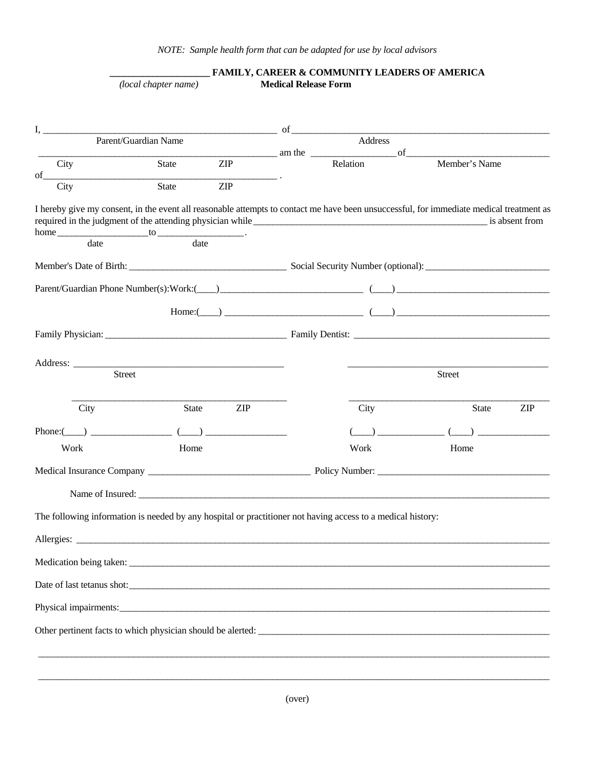|               | (local chapter name)                                                                                        |            | <b>Medical Release Form</b> | FAMILY, CAREER & COMMUNITY LEADERS OF AMERICA                                                                                                                                                                                                                                                                                                        |                                                                                                                                                                                                                                      |                |  |
|---------------|-------------------------------------------------------------------------------------------------------------|------------|-----------------------------|------------------------------------------------------------------------------------------------------------------------------------------------------------------------------------------------------------------------------------------------------------------------------------------------------------------------------------------------------|--------------------------------------------------------------------------------------------------------------------------------------------------------------------------------------------------------------------------------------|----------------|--|
| I,            | Parent/Guardian Name                                                                                        |            |                             | $\sigma$ of $\sigma$ and $\sigma$ of $\sigma$ and $\sigma$ of $\sigma$ and $\sigma$ of $\sigma$ and $\sigma$ of $\sigma$ and $\sigma$ of $\sigma$ and $\sigma$ of $\sigma$ or $\sigma$ or $\sigma$ or $\sigma$ or $\sigma$ or $\sigma$ or $\sigma$ or $\sigma$ or $\sigma$ or $\sigma$ or $\sigma$ or $\sigma$ or $\sigma$ or $\sigma$ or<br>Address |                                                                                                                                                                                                                                      |                |  |
|               |                                                                                                             |            |                             | am the                                                                                                                                                                                                                                                                                                                                               | of                                                                                                                                                                                                                                   |                |  |
| City<br>of    | State                                                                                                       | ZIP        |                             | Relation                                                                                                                                                                                                                                                                                                                                             | Member's Name                                                                                                                                                                                                                        |                |  |
| City          | State                                                                                                       | <b>ZIP</b> |                             |                                                                                                                                                                                                                                                                                                                                                      |                                                                                                                                                                                                                                      |                |  |
|               | home to date to date date $\cdot$                                                                           |            |                             |                                                                                                                                                                                                                                                                                                                                                      | I hereby give my consent, in the event all reasonable attempts to contact me have been unsuccessful, for immediate medical treatment as                                                                                              | is absent from |  |
|               |                                                                                                             |            |                             |                                                                                                                                                                                                                                                                                                                                                      |                                                                                                                                                                                                                                      |                |  |
|               |                                                                                                             |            |                             |                                                                                                                                                                                                                                                                                                                                                      |                                                                                                                                                                                                                                      |                |  |
|               |                                                                                                             |            |                             |                                                                                                                                                                                                                                                                                                                                                      |                                                                                                                                                                                                                                      |                |  |
|               |                                                                                                             |            |                             |                                                                                                                                                                                                                                                                                                                                                      | $\text{Home:}(\_\_\_\_\_\_\_$                                                                                                                                                                                                        |                |  |
|               |                                                                                                             |            |                             |                                                                                                                                                                                                                                                                                                                                                      |                                                                                                                                                                                                                                      |                |  |
|               |                                                                                                             |            |                             |                                                                                                                                                                                                                                                                                                                                                      |                                                                                                                                                                                                                                      |                |  |
| <b>Street</b> |                                                                                                             |            |                             | <b>Street</b>                                                                                                                                                                                                                                                                                                                                        |                                                                                                                                                                                                                                      |                |  |
|               |                                                                                                             |            |                             |                                                                                                                                                                                                                                                                                                                                                      |                                                                                                                                                                                                                                      |                |  |
| City          | State                                                                                                       | <b>ZIP</b> |                             | City                                                                                                                                                                                                                                                                                                                                                 | <b>State</b>                                                                                                                                                                                                                         | <b>ZIP</b>     |  |
|               | Phone: $($ ) $($ )                                                                                          |            |                             |                                                                                                                                                                                                                                                                                                                                                      |                                                                                                                                                                                                                                      |                |  |
| Work          | Home                                                                                                        |            |                             | Work                                                                                                                                                                                                                                                                                                                                                 | Home                                                                                                                                                                                                                                 |                |  |
|               |                                                                                                             |            |                             |                                                                                                                                                                                                                                                                                                                                                      |                                                                                                                                                                                                                                      |                |  |
|               | Name of Insured:                                                                                            |            |                             |                                                                                                                                                                                                                                                                                                                                                      |                                                                                                                                                                                                                                      |                |  |
|               | The following information is needed by any hospital or practitioner not having access to a medical history: |            |                             |                                                                                                                                                                                                                                                                                                                                                      |                                                                                                                                                                                                                                      |                |  |
|               |                                                                                                             |            |                             |                                                                                                                                                                                                                                                                                                                                                      |                                                                                                                                                                                                                                      |                |  |
|               |                                                                                                             |            |                             |                                                                                                                                                                                                                                                                                                                                                      |                                                                                                                                                                                                                                      |                |  |
|               |                                                                                                             |            |                             |                                                                                                                                                                                                                                                                                                                                                      |                                                                                                                                                                                                                                      |                |  |
|               |                                                                                                             |            |                             |                                                                                                                                                                                                                                                                                                                                                      | Physical impairments: <u>contract and a set of the contract of the contract of the contract of the contract of the contract of the contract of the contract of the contract of the contract of the contract of the contract of t</u> |                |  |
|               |                                                                                                             |            |                             |                                                                                                                                                                                                                                                                                                                                                      |                                                                                                                                                                                                                                      |                |  |
|               |                                                                                                             |            |                             |                                                                                                                                                                                                                                                                                                                                                      |                                                                                                                                                                                                                                      |                |  |
|               |                                                                                                             |            |                             |                                                                                                                                                                                                                                                                                                                                                      |                                                                                                                                                                                                                                      |                |  |